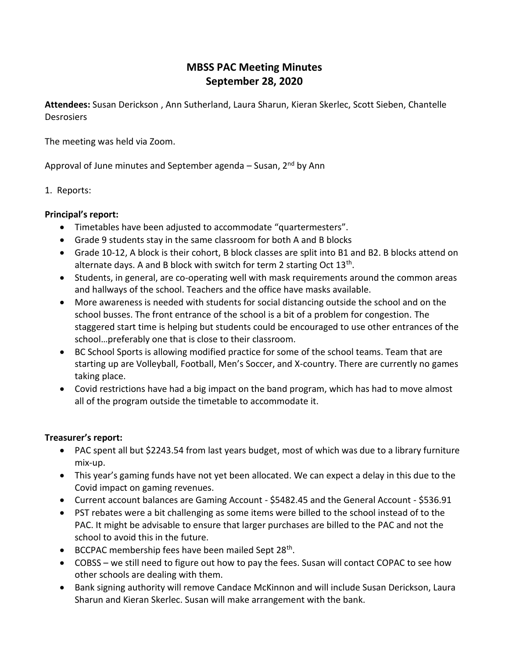## **MBSS PAC Meeting Minutes September 28, 2020**

**Attendees:** Susan Derickson , Ann Sutherland, Laura Sharun, Kieran Skerlec, Scott Sieben, Chantelle **Desrosiers** 

The meeting was held via Zoom.

Approval of June minutes and September agenda – Susan,  $2^{nd}$  by Ann

1. Reports:

## **Principal's report:**

- Timetables have been adjusted to accommodate "quartermesters".
- Grade 9 students stay in the same classroom for both A and B blocks
- Grade 10-12, A block is their cohort, B block classes are split into B1 and B2. B blocks attend on alternate days. A and B block with switch for term 2 starting Oct  $13<sup>th</sup>$ .
- Students, in general, are co-operating well with mask requirements around the common areas and hallways of the school. Teachers and the office have masks available.
- More awareness is needed with students for social distancing outside the school and on the school busses. The front entrance of the school is a bit of a problem for congestion. The staggered start time is helping but students could be encouraged to use other entrances of the school…preferably one that is close to their classroom.
- BC School Sports is allowing modified practice for some of the school teams. Team that are starting up are Volleyball, Football, Men's Soccer, and X-country. There are currently no games taking place.
- Covid restrictions have had a big impact on the band program, which has had to move almost all of the program outside the timetable to accommodate it.

## **Treasurer's report:**

- PAC spent all but \$2243.54 from last years budget, most of which was due to a library furniture mix-up.
- This year's gaming funds have not yet been allocated. We can expect a delay in this due to the Covid impact on gaming revenues.
- Current account balances are Gaming Account \$5482.45 and the General Account \$536.91
- PST rebates were a bit challenging as some items were billed to the school instead of to the PAC. It might be advisable to ensure that larger purchases are billed to the PAC and not the school to avoid this in the future.
- BCCPAC membership fees have been mailed Sept 28<sup>th</sup>.
- COBSS we still need to figure out how to pay the fees. Susan will contact COPAC to see how other schools are dealing with them.
- Bank signing authority will remove Candace McKinnon and will include Susan Derickson, Laura Sharun and Kieran Skerlec. Susan will make arrangement with the bank.